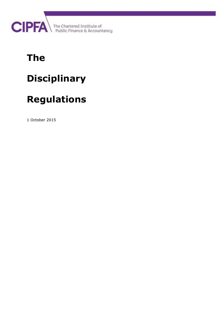

# **The**

# **Disciplinary**

# **Regulations**

1 October 2015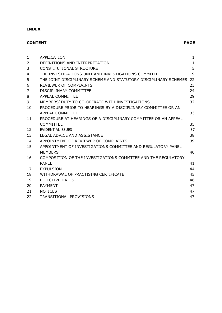# **INDEX**

# **CONTENT PAGE**

| $\mathbf{1}$   | APPLICATION                                                      | $\mathbf{1}$ |
|----------------|------------------------------------------------------------------|--------------|
| 2              | DEFINITIONS AND INTERPRETATION                                   | $\mathbf{1}$ |
| 3              | CONSTITUTIONAL STRUCTURE                                         | 5            |
| 4              | THE INVESTIGATIONS UNIT AND INVESTIGATIONS COMMITTEE             | 9            |
| 5              | THE JOINT DISCIPLINARY SCHEME AND STATUTORY DISCIPLINARY SCHEMES | 22           |
| 6              | REVIEWER OF COMPLAINTS                                           | 23           |
| $\overline{7}$ | DISCIPLINARY COMMITTEE                                           | 24           |
| 8              | <b>APPEAL COMMITTEE</b>                                          | 29           |
| 9              | MEMBERS' DUTY TO CO-OPERATE WITH INVESTIGATIONS                  | 32           |
| 10             | PROCEDURE PRIOR TO HEARINGS BY A DISCIPLINARY COMMITTEE OR AN    |              |
|                | APPEAL COMMITTEE                                                 | 33           |
| 11             | PROCEDURE AT HEARINGS OF A DISCIPLINARY COMMITTEE OR AN APPEAL   |              |
|                | <b>COMMITTEE</b>                                                 | 35           |
| 12             | <b>FVIDENTIAL ISSUES</b>                                         | 37           |
| 13             | LEGAL ADVICE AND ASSISTANCE                                      | 38           |
| 14             | APPOINTMENT OF REVIEWER OF COMPLAINTS                            | 39           |
| 15             | APPOINTMENT OF INVESTIGATIONS COMMITTEE AND REGULATORY PANEL     |              |
|                | <b>MEMBERS</b>                                                   | 40           |
| 16             | COMPOSITION OF THE INVESTIGATIONS COMMTTEE AND THE REGULATORY    |              |
|                | PANEL                                                            | 41           |
| 17             | <b>EXPULSION</b>                                                 | 44           |
| 18             | WITHDRAWAL OF PRACTISING CERTIFICATE                             | 45           |
| 19             | <b>EFFECTIVE DATES</b>                                           | 46           |
| 20             | <b>PAYMENT</b>                                                   | 47           |
| 21             | <b>NOTICES</b>                                                   | 47           |
| 22             | <b>TRANSITIONAL PROVISIONS</b>                                   | 47           |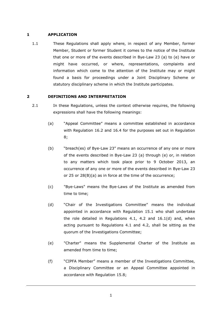### <span id="page-4-0"></span>**1 APPLICATION**

1.1 These Regulations shall apply where, in respect of any Member, former Member, Student or former Student it comes to the notice of the Institute that one or more of the events described in Bye-Law 23 (a) to (e) have or might have occurred, or where, representations, complaints and information which come to the attention of the Institute may or might found a basis for proceedings under a Joint Disciplinary Scheme or statutory disciplinary scheme in which the Institute participates.

# <span id="page-4-1"></span>**2 DEFINITIONS AND INTERPRETATION**

- 2.1 In these Regulations, unless the context otherwise requires, the following expressions shall have the following meanings:
	- (a) "Appeal Committee" means a committee established in accordance with Regulation 16.2 and 16.4 for the purposes set out in Regulation [8;](#page-32-0)
	- (b) "breach(es) of Bye-Law 23" means an occurrence of any one or more of the events described in Bye-Law 23 (a) through (e) or, in relation to any matters which took place prior to 9 October 2013, an occurrence of any one or more of the events described in Bye-Law 23 or 25 or 28(B)(a) as in force at the time of the occurrence;
	- (c) "Bye-Laws" means the Bye-Laws of the Institute as amended from time to time;
	- (d) "Chair of the Investigations Committee" means the individual appointed in accordance with Regulation 15.1 who shall undertake the role detailed in Regulations 4.1, 4.2 and 16.1(d) and, when acting pursuant to Regulations 4.1 and 4.2, shall be sitting as the quorum of the Investigations Committee;
	- (e) "Charter" means the Supplemental Charter of the Institute as amended from time to time;
	- (f) "CIPFA Member" means a member of the Investigations Committee, a Disciplinary Committee or an Appeal Committee appointed in accordance with Regulation [15.8;](#page-44-1)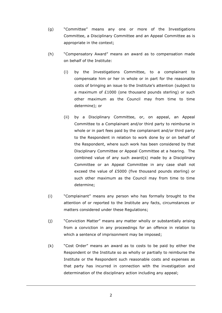- (g) "Committee" means any one or more of the Investigations Committee, a Disciplinary Committee and an Appeal Committee as is appropriate in the context;
- (h) "Compensatory Award" means an award as to compensation made on behalf of the Institute:
	- (i) by the Investigations Committee, to a complainant to compensate him or her in whole or in part for the reasonable costs of bringing an issue to the Institute's attention (subject to a maximum of £1000 (one thousand pounds sterling) or such other maximum as the Council may from time to time determine); or
	- (ii) by a Disciplinary Committee, or, on appeal, an Appeal Committee to a Complainant and/or third party to reimburse in whole or in part fees paid by the complainant and/or third party to the Respondent in relation to work done by or on behalf of the Respondent, where such work has been considered by that Disciplinary Committee or Appeal Committee at a hearing. The combined value of any such award(s) made by a Disciplinary Committee or an Appeal Committee in any case shall not exceed the value of £5000 (five thousand pounds sterling) or such other maximum as the Council may from time to time determine;
- (i) "Complainant" means any person who has formally brought to the attention of or reported to the Institute any facts, circumstances or matters considered under these Regulations;
- (j) "Conviction Matter" means any matter wholly or substantially arising from a conviction in any proceedings for an offence in relation to which a sentence of imprisonment may be imposed;
- (k) "Cost Order" means an award as to costs to be paid by either the Respondent or the Institute so as wholly or partially to reimburse the Institute or the Respondent such reasonable costs and expenses as that party has incurred in connection with the investigation and determination of the disciplinary action including any appeal;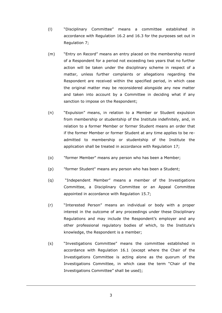- (l) "Disciplinary Committee" means a committee established in accordance with Regulation 16.2 and 16.3 for the purposes set out in Regulation [7;](#page-27-0)
- (m) "Entry on Record" means an entry placed on the membership record of a Respondent for a period not exceeding two years that no further action will be taken under the disciplinary scheme in respect of a matter, unless further complaints or allegations regarding the Respondent are received within the specified period, in which case the original matter may be reconsidered alongside any new matter and taken into account by a Committee in deciding what if any sanction to impose on the Respondent;
- (n) "Expulsion" means, in relation to a Member or Student expulsion from membership or studentship of the Institute indefinitely, and, in relation to a former Member or former Student means an order that if the former Member or former Student at any time applies to be readmitted to membership or studentship of the Institute the application shall be treated in accordance with Regulation [17;](#page-47-0)
- (o) "former Member" means any person who has been a Member;
- (p) "former Student" means any person who has been a Student;
- (q) "Independent Member" means a member of the Investigations Committee, a Disciplinary Committee or an Appeal Committee appointed in accordance with Regulation [15.7;](#page-44-2)
- (r) "Interested Person" means an individual or body with a proper interest in the outcome of any proceedings under these Disciplinary Regulations and may include the Respondent's employer and any other professional regulatory bodies of which, to the Institute's knowledge, the Respondent is a member;
- (s) "Investigations Committee" means the committee established in accordance with Regulation [16.1](#page-44-3) (except where the Chair of the Investigations Committee is acting alone as the quorum of the Investigations Committee, in which case the term "Chair of the Investigations Committee" shall be used);

3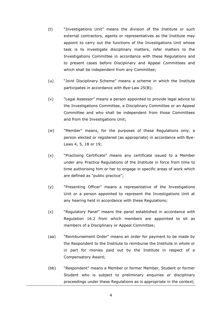- (t) "Investigations Unit" means the division of the Institute or such external contractors, agents or representatives as the Institute may appoint to carry out the functions of the Investigations Unit whose task is to investigate disciplinary matters, refer matters to the Investigations Committee in accordance with these Regulations and to present cases before Disciplinary and Appeal Committees and which shall be independent from any Committee;
- (u) "Joint Disciplinary Scheme" means a scheme in which the Institute participates in accordance with Bye-Law 25(B);
- (v) "Legal Assessor" means a person appointed to provide legal advice to the Investigations Committee, a Disciplinary Committee or an Appeal Committee and who shall be independent from those Committees and from the Investigations Unit;
- (w) "Member" means, for the purposes of these Regulations only, a person elected or registered (as appropriate) in accordance with Bye-Laws 4, 5, 18 or 19;
- (x) "Practising Certificate" means any certificate issued to a Member under any Practice Regulations of the Institute in force from time to time authorising him or her to engage in specific areas of work which are defined as "public practice";
- (y) "Presenting Officer" means a representative of the Investigations Unit or a person appointed to represent the Investigations Unit at any hearing held in accordance with these Regulations;
- (z) "Regulatory Panel" means the panel established in accordance with Regulation 16.2 from which members are appointed to sit as members of a Disciplinary or Appeal Committee;
- (aa) "Reimbursement Order" means an order for payment to be made by the Respondent to the Institute to reimburse the Institute in whole or in part for monies paid out by the Institute in respect of a Compensatory Award;
- (bb) "Respondent" means a Member or former Member, Student or former Student who is subject to preliminary enquiries or disciplinary proceedings under these Regulations as is appropriate in the context;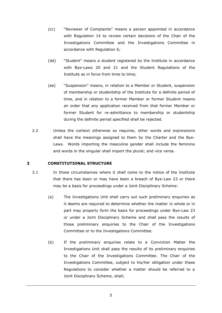- (cc) "Reviewer of Complaints" means a person appointed in accordance with Regulation [14](#page-42-0) to review certain decisions of the Chair of the Investigations Committee and the Investigations Committee in accordance with Regulation [6;](#page-26-0)
- (dd) "Student" means a student registered by the Institute in accordance with Bye-Laws 20 and 21 and the Student Regulations of the Institute as in force from time to time;
- (ee) "Suspension" means, in relation to a Member or Student, suspension of membership or studentship of the Institute for a definite period of time, and in relation to a former Member or former Student means an order that any application received from that former Member or former Student for re-admittance to membership or studentship during the definite period specified shall be rejected.
- 2.2 Unless the context otherwise so requires, other words and expressions shall have the meanings assigned to them by the Charter and the Bye-Laws. Words importing the masculine gender shall include the feminine and words in the singular shall import the plural; and vice versa.

#### <span id="page-8-0"></span>**3 CONSTITUTIONAL STRUCTURE**

- 3.1 In those circumstances where it shall come to the notice of the Institute that there has been or may have been a breach of Bye-Law 23 or there may be a basis for proceedings under a Joint Disciplinary Scheme:
	- (a) The Investigations Unit shall carry out such preliminary enquiries as it deems are required to determine whether the matter in whole or in part may properly form the basis for proceedings under Bye-Law 23 or under a Joint Disciplinary Scheme and shall pass the results of those preliminary enquiries to the Chair of the Investigations Committee or to the Investigations Committee.
	- (b) If the preliminary enquiries relate to a Conviction Matter the Investigations Unit shall pass the results of its preliminary enquiries to the Chair of the Investigations Committee. The Chair of the Investigations Committee, subject to his/her obligation under these Regulations to consider whether a matter should be referred to a Joint Disciplinary Scheme, shall;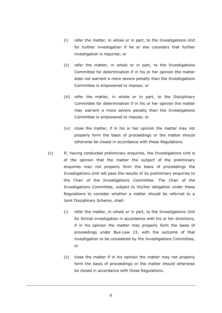- (i) refer the matter, in whole or in part, to the Investigations Unit for further investigation if he or she considers that further investigation is required; or
- (ii) refer the matter, in whole or in part, to the Investigations Committee for determination if in his or her opinion the matter does not warrant a more severe penalty than the Investigations Committee is empowered to impose; or
- (iii) refer the matter, in whole or in part, to the Disciplinary Committee for determination if in his or her opinion the matter may warrant a more severe penalty than the Investigations Committee is empowered to impose; or
- (iv) close the matter, if in his or her opinion the matter may not properly form the basis of proceedings or the matter should otherwise be closed in accordance with these Regulations.
- (c) If, having conducted preliminary enquiries, the Investigations Unit is of the opinion that the matter the subject of the preliminary enquiries may not properly form the basis of proceedings the Investigations Unit will pass the results of its preliminary enquiries to the Chair of the Investigations Committee. The Chair of the Investigations Committee, subject to his/her obligation under these Regulations to consider whether a matter should be referred to a Joint Disciplinary Scheme, shall:
	- (i) refer the matter, in whole or in part, to the Investigations Unit for formal investigation in accordance with his or her directions, if in his opinion the matter may properly form the basis of proceedings under Bye-Law 23, with the outcome of that investigation to be considered by the Investigations Committee, or
	- (ii) close the matter if in his opinion the matter may not properly form the basis of proceedings or the matter should otherwise be closed in accordance with these Regulations.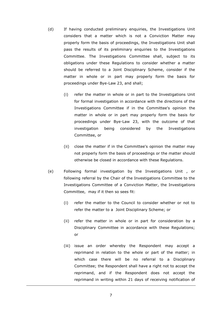- (d) If having conducted preliminary enquiries, the Investigations Unit considers that a matter which is not a Conviction Matter may properly form the basis of proceedings, the Investigations Unit shall pass the results of its preliminary enquiries to the Investigations Committee. The Investigations Committee shall, subject to its obligations under these Regulations to consider whether a matter should be referred to a Joint Disciplinary Scheme, consider if the matter in whole or in part may properly form the basis for proceedings under Bye-Law 23, and shall;
	- (i) refer the matter in whole or in part to the Investigations Unit for formal investigation in accordance with the directions of the Investigations Committee if in the Committee's opinion the matter in whole or in part may properly form the basis for proceedings under Bye-Law 23, with the outcome of that investigation being considered by the Investigations Committee, or
	- (ii) close the matter if in the Committee's opinion the matter may not properly form the basis of proceedings or the matter should otherwise be closed in accordance with these Regulations.
- (e) Following formal investigation by the Investigations Unit , or following referral by the Chair of the Investigations Committee to the Investigations Committee of a Conviction Matter, the Investigations Committee, may if it then so sees fit:
	- (i) refer the matter to the Council to consider whether or not to refer the matter to a Joint Disciplinary Scheme; or
	- (ii) refer the matter in whole or in part for consideration by a Disciplinary Committee in accordance with these Regulations; or
	- (iii) issue an order whereby the Respondent may accept a reprimand in relation to the whole or part of the matter; in which case there will be no referral to a Disciplinary Committee; the Respondent shall have a right not to accept the reprimand, and if the Respondent does not accept the reprimand in writing within 21 days of receiving notification of

7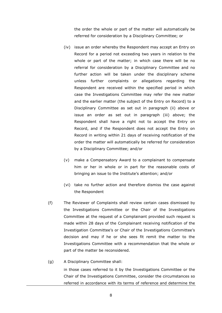the order the whole or part of the matter will automatically be referred for consideration by a Disciplinary Committee; or

- (iv) issue an order whereby the Respondent may accept an Entry on Record for a period not exceeding two years in relation to the whole or part of the matter; in which case there will be no referral for consideration by a Disciplinary Committee and no further action will be taken under the disciplinary scheme unless further complaints or allegations regarding the Respondent are received within the specified period in which case the Investigations Committee may refer the new matter and the earlier matter (the subject of the Entry on Record) to a Disciplinary Committee as set out in paragraph (ii) above or issue an order as set out in paragraph (iii) above; the Respondent shall have a right not to accept the Entry on Record, and if the Respondent does not accept the Entry on Record in writing within 21 days of receiving notification of the order the matter will automatically be referred for consideration by a Disciplinary Committee; and/or
- (v) make a Compensatory Award to a complainant to compensate him or her in whole or in part for the reasonable costs of bringing an issue to the Institute's attention; and/or
- (vi) take no further action and therefore dismiss the case against the Respondent
- (f) The Reviewer of Complaints shall review certain cases dismissed by the Investigations Committee or the Chair of the Investigations Committee at the request of a Complainant provided such request is made within 28 days of the Complainant receiving notification of the Investigation Committee's or Chair of the Investigations Committee's decision and may if he or she sees fit remit the matter to the Investigations Committee with a recommendation that the whole or part of the matter be reconsidered.
- (g) A Disciplinary Committee shall:

in those cases referred to it by the Investigations Committee or the Chair of the Investigations Committee, consider the circumstances so referred in accordance with its terms of reference and determine the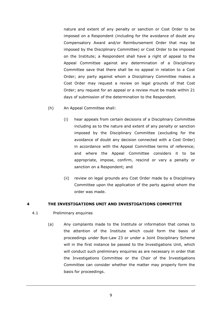nature and extent of any penalty or sanction or Cost Order to be imposed on a Respondent (including for the avoidance of doubt any Compensatory Award and/or Reimbursement Order that may be imposed by the Disciplinary Committee) or Cost Order to be imposed on the Institute; a Respondent shall have a right of appeal to the Appeal Committee against any determination of a Disciplinary Committee save that there shall be no appeal in relation to a Cost Order; any party against whom a Disciplinary Committee makes a Cost Order may request a review on legal grounds of that Cost Order; any request for an appeal or a review must be made within 21 days of submission of the determination to the Respondent.

- (h) An Appeal Committee shall:
	- (i) hear appeals from certain decisions of a Disciplinary Committee including as to the nature and extent of any penalty or sanction imposed by the Disciplinary Committee (excluding for the avoidance of doubt any decision connected with a Cost Order) in accordance with the Appeal Committee terms of reference; and where the Appeal Committee considers it to be appropriate, impose, confirm, rescind or vary a penalty or sanction on a Respondent; and
	- (ii) review on legal grounds any Cost Order made by a Disciplinary Committee upon the application of the party against whom the order was made.

#### <span id="page-12-0"></span>**4 THE INVESTIGATIONS UNIT AND INVESTIGATIONS COMMITTEE**

#### 4.1 Preliminary enquiries

(a) Any complaints made to the Institute or information that comes to the attention of the Institute which could form the basis of proceedings under Bye-Law 23 or under a Joint Disciplinary Scheme will in the first instance be passed to the Investigations Unit, which will conduct such preliminary enquiries as are necessary in order that the Investigations Committee or the Chair of the Investigations Committee can consider whether the matter may properly form the basis for proceedings.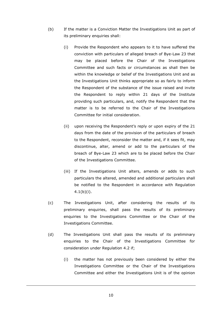- (b) If the matter is a Conviction Matter the Investigations Unit as part of its preliminary enquiries shall:
	- (i) Provide the Respondent who appears to it to have suffered the conviction with particulars of alleged breach of Bye-Law 23 that may be placed before the Chair of the Investigations Committee and such facts or circumstances as shall then be within the knowledge or belief of the Investigations Unit and as the Investigations Unit thinks appropriate so as fairly to inform the Respondent of the substance of the issue raised and invite the Respondent to reply within 21 days of the Institute providing such particulars, and, notify the Respondent that the matter is to be referred to the Chair of the Investigations Committee for initial consideration.
	- (ii) upon receiving the Respondent's reply or upon expiry of the 21 days from the date of the provision of the particulars of breach to the Respondent, reconsider the matter and, if it sees fit, may discontinue, alter, amend or add to the particulars of the breach of Bye-Law 23 which are to be placed before the Chair of the Investigations Committee.
	- (iii) If the Investigations Unit alters, amends or adds to such particulars the altered, amended and additional particulars shall be notified to the Respondent in accordance with Regulation  $4.1(b)(i)$ .
- (c) The Investigations Unit, after considering the results of its preliminary enquiries, shall pass the results of its preliminary enquiries to the Investigations Committee or the Chair of the Investigations Committee.
- (d) The Investigations Unit shall pass the results of its preliminary enquiries to the Chair of the Investigations Committee for consideration under Regulation 4.2 if;
	- (i) the matter has not previously been considered by either the Investigations Committee or the Chair of the Investigations Committee and either the Investigations Unit is of the opinion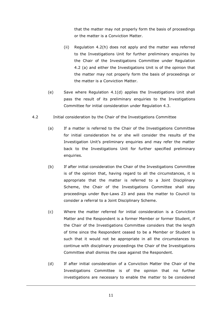that the matter may not properly form the basis of proceedings or the matter is a Conviction Matter.

- (ii) Regulation 4.2(h) does not apply and the matter was referred to the Investigations Unit for further preliminary enquiries by the Chair of the Investigations Committee under Regulation 4.2 (a) and either the Investigations Unit is of the opinion that the matter may not properly form the basis of proceedings or the matter is a Conviction Matter.
- (e) Save where Regulation 4.1(d) applies the Investigations Unit shall pass the result of its preliminary enquiries to the Investigations Committee for initial consideration under Regulation 4.3.
- 4.2 Initial consideration by the Chair of the Investigations Committee
	- (a) If a matter is referred to the Chair of the Investigations Committee for initial consideration he or she will consider the results of the Investigation Unit's preliminary enquiries and may refer the matter back to the Investigations Unit for further specified preliminary enquiries.
	- (b) If after initial consideration the Chair of the Investigations Committee is of the opinion that, having regard to all the circumstances, it is appropriate that the matter is referred to a Joint Disciplinary Scheme, the Chair of the Investigations Committee shall stay proceedings under Bye-Laws 23 and pass the matter to Council to consider a referral to a Joint Disciplinary Scheme.
	- (c) Where the matter referred for initial consideration is a Conviction Matter and the Respondent is a former Member or former Student, if the Chair of the Investigations Committee considers that the length of time since the Respondent ceased to be a Member or Student is such that it would not be appropriate in all the circumstances to continue with disciplinary proceedings the Chair of the Investigations Committee shall dismiss the case against the Respondent.
	- (d) If after initial consideration of a Conviction Matter the Chair of the Investigations Committee is of the opinion that no further investigations are necessary to enable the matter to be considered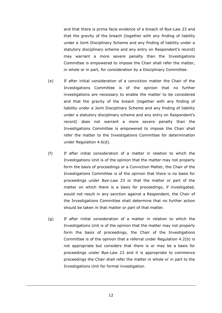and that there is prima facie evidence of a breach of Bye-Law 23 and that the gravity of the breach (together with any finding of liability under a Joint Disciplinary Scheme and any finding of liability under a statutory disciplinary scheme and any entry on Respondent's record) may warrant a more severe penalty than the Investigations Committee is empowered to impose the Chair shall refer the matter, in whole or in part, for consideration by a Disciplinary Committee.

- (e) If after initial consideration of a conviction matter the Chair of the Investigations Committee is of the opinion that no further investigations are necessary to enable the matter to be considered and that the gravity of the breach (together with any finding of liability under a Joint Disciplinary Scheme and any finding of liability under a statutory disciplinary scheme and any entry on Respondent's record) does not warrant a more severe penalty than the Investigations Committee is empowered to impose the Chair shall refer the matter to the Investigations Committee for determination under Regulation 4.6(d).
- (f) If after initial consideration of a matter in relation to which the Investigations Unit is of the opinion that the matter may not properly form the basis of proceedings or a Conviction Matter, the Chair of the Investigations Committee is of the opinion that there is no basis for proceedings under Bye-Law 23 or that the matter or part of the matter on which there is a basis for proceedings, if investigated, would not result in any sanction against a Respondent, the Chair of the Investigations Committee shall determine that no further action should be taken in that matter or part of that matter.
- (g) If after initial consideration of a matter in relation to which the Investigations Unit is of the opinion that the matter may not properly form the basis of proceedings, the Chair of the Investigations Committee is of the opinion that a referral under Regulation 4.2(b) is not appropriate but considers that there is or may be a basis for proceedings under Bye-Law 23 and it is appropriate to commence proceedings the Chair shall refer the matter in whole or in part to the Investigations Unit for formal investigation.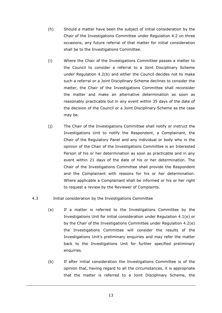- (h) Should a matter have been the subject of initial consideration by the Chair of the Investigations Committee under Regulation 4.2 on three occasions, any future referral of that matter for initial consideration shall be to the Investigations Committee.
- (i) Where the Chair of the Investigations Committee passes a matter to the Council to consider a referral to a Joint Disciplinary Scheme under Regulation 4.2(b) and either the Council decides not to make such a referral or a Joint Disciplinary Scheme declines to consider the matter, the Chair of the Investigations Committee shall reconsider the matter and make an alternative determination as soon as reasonably practicable but in any event within 35 days of the date of the decision of the Council or a Joint Disciplinary Scheme as the case may be.
- (j) The Chair of the Investigations Committee shall notify or instruct the Investigations Unit to notify the Respondent, a Complainant, the Chair of the Regulatory Panel and any individual or body who in the opinion of the Chair of the Investigations Committee is an Interested Person of his or her determination as soon as practicable and in any event within 21 days of the date of his or her determination. The Chair of the Investigations Committee shall provide the Respondent and the Complainant with reasons for his or her determination. Where applicable a Complainant shall be informed or his or her right to request a review by the Reviewer of Complaints.

#### 4.3 Initial consideration by the Investigations Committee

- (a) If a matter is referred to the Investigations Committee by the Investigations Unit for initial consideration under Regulation 4.1(e) or by the Chair of the Investigations Committee under Regulation 4.2(e) the Investigations Committee will consider the results of the Investigations Unit's preliminary enquiries and may refer the matter back to the Investigations Unit for further specified preliminary enquiries.
- (b) If after initial consideration the Investigations Committee is of the opinion that, having regard to all the circumstances, it is appropriate that the matter is referred to a Joint Disciplinary Scheme, the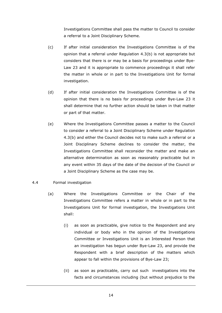Investigations Committee shall pass the matter to Council to consider a referral to a Joint Disciplinary Scheme.

- (c) If after initial consideration the Investigations Committee is of the opinion that a referral under Regulation 4.3(b) is not appropriate but considers that there is or may be a basis for proceedings under Bye-Law 23 and it is appropriate to commence proceedings it shall refer the matter in whole or in part to the Investigations Unit for formal investigation.
- (d) If after initial consideration the Investigations Committee is of the opinion that there is no basis for proceedings under Bye-Law 23 it shall determine that no further action should be taken in that matter or part of that matter.
- (e) Where the Investigations Committee passes a matter to the Council to consider a referral to a Joint Disciplinary Scheme under Regulation 4.3(b) and either the Council decides not to make such a referral or a Joint Disciplinary Scheme declines to consider the matter, the Investigations Committee shall reconsider the matter and make an alternative determination as soon as reasonably practicable but in any event within 35 days of the date of the decision of the Council or a Joint Disciplinary Scheme as the case may be.
- 4.4 Formal investigation
	- (a) Where the Investigations Committee or the Chair of the Investigations Committee refers a matter in whole or in part to the Investigations Unit for formal investigation, the Investigations Unit shall:
		- (i) as soon as practicable, give notice to the Respondent and any individual or body who in the opinion of the Investigations Committee or Investigations Unit is an Interested Person that an investigation has begun under Bye-Law 23, and provide the Respondent with a brief description of the matters which appear to fall within the provisions of Bye-Law 23;
		- (ii) as soon as practicable, carry out such investigations into the facts and circumstances including (but without prejudice to the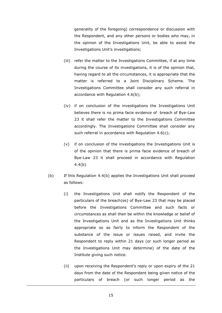generality of the foregoing) correspondence or discussion with the Respondent, and any other persons or bodies who may, in the opinion of the Investigations Unit, be able to assist the Investigations Unit's investigations;

- (iii) refer the matter to the Investigations Committee, if at any time during the course of its investigations, it is of the opinion that, having regard to all the circumstances, it is appropriate that the matter is referred to a Joint Disciplinary Scheme. The Investigations Committee shall consider any such referral in accordance with Regulation 4.6(b);
- (iv) if on conclusion of the investigations the Investigations Unit believes there is no prima facie evidence of breach of Bye-Law 23 it shall refer the matter to the Investigations Committee accordingly. The Investigations Committee shall consider any such referral in accordance with Regulation 4.6(c);
- (v) if on conclusion of the investigations the Investigations Unit is of the opinion that there is prima facie evidence of breach of Bye-Law 23 it shall proceed in accordance with Regulation 4.4(b)
- (b) If this Regulation 4.4(b) applies the Investigations Unit shall proceed as follows:
	- (i) the Investigations Unit shall notify the Respondent of the particulars of the breach(es) of Bye-Law 23 that may be placed before the Investigations Committee and such facts or circumstances as shall then be within the knowledge or belief of the Investigations Unit and as the Investigations Unit thinks appropriate so as fairly to inform the Respondent of the substance of the issue or issues raised, and invite the Respondent to reply within 21 days (or such longer period as the Investigations Unit may determine) of the date of the Institute giving such notice.
	- (ii) upon receiving the Respondent's reply or upon expiry of the 21 days from the date of the Respondent being given notice of the particulars of breach (or such longer period as the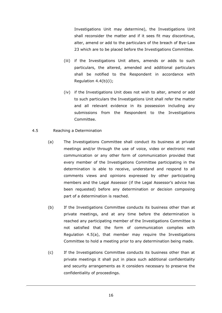Investigations Unit may determine), the Investigations Unit shall reconsider the matter and if it sees fit may discontinue, alter, amend or add to the particulars of the breach of Bye-Law 23 which are to be placed before the Investigations Committee.

- (iii) if the Investigations Unit alters, amends or adds to such particulars, the altered, amended and additional particulars shall be notified to the Respondent in accordance with Regulation 4.4(b)(i);
- (iv) if the Investigations Unit does not wish to alter, amend or add to such particulars the Investigations Unit shall refer the matter and all relevant evidence in its possession including any submissions from the Respondent to the Investigations Committee.
- 4.5 Reaching a Determination
	- (a) The Investigations Committee shall conduct its business at private meetings and/or through the use of voice, video or electronic mail communication or any other form of communication provided that every member of the Investigations Committee participating in the determination is able to receive, understand and respond to all comments views and opinions expressed by other participating members and the Legal Assessor (if the Legal Assessor's advice has been requested) before any determination or decision composing part of a determination is reached.
	- (b) If the Investigations Committee conducts its business other than at private meetings, and at any time before the determination is reached any participating member of the Investigations Committee is not satisfied that the form of communication complies with Regulation 4.5(a), that member may require the Investigations Committee to hold a meeting prior to any determination being made.
	- (c) If the Investigations Committee conducts its business other than at private meetings it shall put in place such additional confidentiality and security arrangements as it considers necessary to preserve the confidentiality of proceedings.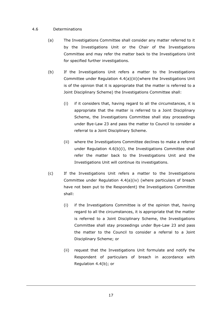### 4.6 Determinations

- (a) The Investigations Committee shall consider any matter referred to it by the Investigations Unit or the Chair of the Investigations Committee and may refer the matter back to the Investigations Unit for specified further investigations.
- (b) If the Investigations Unit refers a matter to the Investigations Committee under Regulation 4.4(a)(iii)(where the Investigations Unit is of the opinion that it is appropriate that the matter is referred to a Joint Disciplinary Scheme) the Investigations Committee shall:
	- (i) if it considers that, having regard to all the circumstances, it is appropriate that the matter is referred to a Joint Disciplinary Scheme, the Investigations Committee shall stay proceedings under Bye-Law 23 and pass the matter to Council to consider a referral to a Joint Disciplinary Scheme.
	- (ii) where the Investigations Committee declines to make a referral under Regulation 4.6(b)(i), the Investigations Committee shall refer the matter back to the Investigations Unit and the Investigations Unit will continue its investigations.
- (c) If the Investigations Unit refers a matter to the Investigations Committee under Regulation 4.4(a)(iv) (where particulars of breach have not been put to the Respondent) the Investigations Committee shall:
	- (i) if the Investigations Committee is of the opinion that, having regard to all the circumstances, it is appropriate that the matter is referred to a Joint Disciplinary Scheme, the Investigations Committee shall stay proceedings under Bye-Law 23 and pass the matter to the Council to consider a referral to a Joint Disciplinary Scheme; or
	- (ii) request that the Investigations Unit formulate and notify the Respondent of particulars of breach in accordance with Regulation 4.4(b); or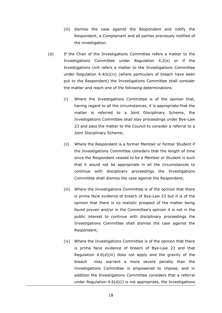- (iii) dismiss the case against the Respondent and notify the Respondent, a Complainant and all parties previously notified of the investigation.
- <span id="page-21-0"></span>(d) If the Chair of the Investigations Committee refers a matter to the Investigations Committee under Regulation 4.2(e) or if the Investigations Unit refers a matter to the Investigations Committee under Regulation 4.4(b)(iv) (where particulars of breach have been put to the Respondent) the Investigations Committee shall consider the matter and reach one of the following determinations:
	- (i) Where the Investigations Committee is of the opinion that, having regard to all the circumstances, it is appropriate that the matter is referred to a Joint Disciplinary Scheme, the Investigations Committee shall stay proceedings under Bye-Law 23 and pass the matter to the Council to consider a referral to a Joint Disciplinary Scheme;
	- (ii) Where the Respondent is a former Member or former Student if the Investigations Committee considers that the length of time since the Respondent ceased to be a Member or Student is such that it would not be appropriate in all the circumstances to continue with disciplinary proceedings the Investigations Committee shall dismiss the case against the Respondent;
	- (iii) Where the Investigations Committee is of the opinion that there is prima facie evidence of breach of Bye-Law 23 but it is of the opinion that there is no realistic prospect of the matter being found proven and/or in the Committee's opinion it is not in the public interest to continue with disciplinary proceedings the Investigations Committee shall dismiss the case against the Respondent;
	- (iv) Where the Investigations Committee is of the opinion that there is prima facie evidence of breach of Bye-Law 23 and that Regulation 4.6(d)(iii) does not apply and the gravity of the breach may warrant a more severe penalty than the Investigations Committee is empowered to impose, and in addition the Investigations Committee considers that a referral under Regulation 4.6(d)(i) is not appropriate, the Investigations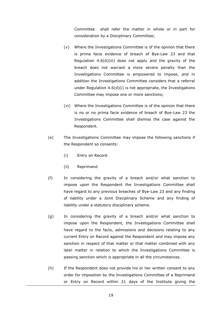Committee shall refer the matter in whole or in part for consideration by a Disciplinary Committee;

- (v) Where the Investigations Committee is of the opinion that there is prima facie evidence of breach of Bye-Law 23 and that Regulation 4.6(d)(iii) does not apply and the gravity of the breach does not warrant a more severe penalty than the Investigations Committee is empowered to impose, and in addition the Investigations Committee considers that a referral under Regulation 4.6(d)(i) is not appropriate, the Investigations Committee may impose one or more sanctions;
- (vi) Where the Investigations Committee is of the opinion that there is no or no prima facie evidence of breach of Bye-Law 23 the Investigations Committee shall dismiss the case against the Respondent.
- (e) The Investigations Committee may impose the following sanctions if the Respondent so consents:
	- (i) Entry on Record
	- (ii) Reprimand
- (f) In considering the gravity of a breach and/or what sanction to impose upon the Respondent the Investigations Committee shall have regard to any previous breaches of Bye-Law 23 and any finding of liability under a Joint Disciplinary Scheme and any finding of liability under a statutory disciplinary scheme.
- (g) In considering the gravity of a breach and/or what sanction to impose upon the Respondent, the Investigations Committee shall have regard to the facts, admissions and decisions relating to any current Entry on Record against the Respondent and may impose any sanction in respect of that matter or that matter combined with any later matter in relation to which the Investigations Committee is passing sanction which is appropriate in all the circumstances.
- (h) If the Respondent does not provide his or her written consent to any order for imposition by the Investigations Committee of a Reprimand or Entry on Record within 21 days of the Institute giving the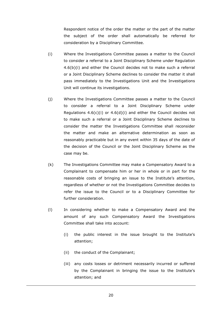Respondent notice of the order the matter or the part of the matter the subject of the order shall automatically be referred for consideration by a Disciplinary Committee.

- (i) Where the Investigations Committee passes a matter to the Council to consider a referral to a Joint Disciplinary Scheme under Regulation 4.6(b)(i) and either the Council decides not to make such a referral or a Joint Disciplinary Scheme declines to consider the matter it shall pass immediately to the Investigations Unit and the Investigations Unit will continue its investigations.
- (j) Where the Investigations Committee passes a matter to the Council to consider a referral to a Joint Disciplinary Scheme under Regulations  $4.6(c)(i)$  or  $4.6(d)(i)$  and either the Council decides not to make such a referral or a Joint Disciplinary Scheme declines to consider the matter the Investigations Committee shall reconsider the matter and make an alternative determination as soon as reasonably practicable but in any event within 35 days of the date of the decision of the Council or the Joint Disciplinary Scheme as the case may be.
- (k) The Investigations Committee may make a Compensatory Award to a Complainant to compensate him or her in whole or in part for the reasonable costs of bringing an issue to the Institute's attention, regardless of whether or not the Investigations Committee decides to refer the issue to the Council or to a Disciplinary Committee for further consideration.
- (l) In considering whether to make a Compensatory Award and the amount of any such Compensatory Award the Investigations Committee shall take into account:
	- (i) the public interest in the issue brought to the Institute's attention;
	- (ii) the conduct of the Complainant;
	- (iii) any costs losses or detriment necessarily incurred or suffered by the Complainant in bringing the issue to the Institute's attention; and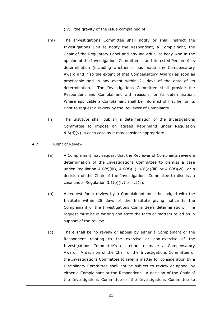- (iv) the gravity of the issue complained of.
- (m) The Investigations Committee shall notify or shall instruct the Investigations Unit to notify the Respondent, a Complainant, the Chair of the Regulatory Panel and any individual or body who in the opinion of the Investigations Committee is an Interested Person of its determination (including whether it has made any Compensatory Award and if so the extent of that Compensatory Award) as soon as practicable and in any event within 21 days of the date of its determination. The Investigations Committee shall provide the Respondent and Complainant with reasons for its determination. Where applicable a Complainant shall be informed of his, her or its right to request a review by the Reviewer of Complaints.
- (n) The Institute shall publish a determination of the Investigations Committee to impose an agreed Reprimand under Regulation 4.6(d)(v) in each case as it may consider appropriate.
- 4.7 Right of Review
	- (a) A Complainant may request that the Reviewer of Complaints review a determination of the Investigations Committee to dismiss a case under Regulation  $4.6(c)(iii)$ ,  $4.6(d)(ii)$ ,  $4.6(d)(iii)$  or  $4.6(d)(vi)$  or a decision of the Chair of the Investigations Committee to dismiss a case under Regulation 3.1(b)(iv) or 4.2(c).
	- (b) A request for a review by a Complainant must be lodged with the Institute within 28 days of the Institute giving notice to the Complainant of the Investigations Committee's determination. The request must be in writing and state the facts or matters relied on in support of the review.
	- (c) There shall be no review or appeal by either a Complainant or the Respondent relating to the exercise or non-exercise of the Investigations Committee's discretion to make a Compensatory Award. A decision of the Chair of the Investigations Committee or the Investigations Committee to refer a matter for consideration by a Disciplinary Committee shall not be subject to review or appeal by either a Complainant or the Respondent. A decision of the Chair of the Investigations Committee or the Investigations Committee to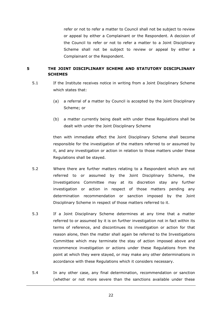refer or not to refer a matter to Council shall not be subject to review or appeal by either a Complainant or the Respondent. A decision of the Council to refer or not to refer a matter to a Joint Disciplinary Scheme shall not be subject to review or appeal by either a Complainant or the Respondent.

# <span id="page-25-0"></span>**5 THE JOINT DISCIPLINARY SCHEME AND STATUTORY DISCIPLINARY SCHEMES**

- 5.1 If the Institute receives notice in writing from a Joint Disciplinary Scheme which states that:
	- (a) a referral of a matter by Council is accepted by the Joint Disciplinary Scheme; or
	- (b) a matter currently being dealt with under these Regulations shall be dealt with under the Joint Disciplinary Scheme

then with immediate effect the Joint Disciplinary Scheme shall become responsible for the investigation of the matters referred to or assumed by it, and any investigation or action in relation to those matters under these Regulations shall be stayed.

- 5.2 Where there are further matters relating to a Respondent which are not referred to or assumed by the Joint Disciplinary Scheme, the Investigations Committee may at its discretion stay any further investigation or action in respect of those matters pending any determination recommendation or sanction imposed by the Joint Disciplinary Scheme in respect of those matters referred to it.
- 5.3 If a Joint Disciplinary Scheme determines at any time that a matter referred to or assumed by it is on further investigation not in fact within its terms of reference, and discontinues its investigation or action for that reason alone, then the matter shall again be referred to the Investigations Committee which may terminate the stay of action imposed above and recommence investigation or actions under these Regulations from the point at which they were stayed, or may make any other determinations in accordance with these Regulations which it considers necessary.
- 5.4 In any other case, any final determination, recommendation or sanction (whether or not more severe than the sanctions available under these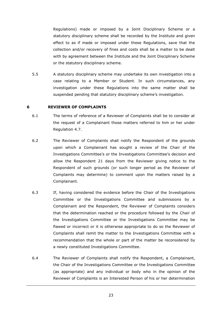Regulations) made or imposed by a Joint Disciplinary Scheme or a statutory disciplinary scheme shall be recorded by the Institute and given effect to as if made or imposed under these Regulations, save that the collection and/or recovery of fines and costs shall be a matter to be dealt with by agreement between the Institute and the Joint Disciplinary Scheme or the statutory disciplinary scheme.

5.5 A statutory disciplinary scheme may undertake its own investigation into a case relating to a Member or Student. In such circumstances, any investigation under these Regulations into the same matter shall be suspended pending that statutory disciplinary scheme's investigation.

#### <span id="page-26-0"></span>**6 REVIEWER OF COMPLAINTS**

- 6.1 The terms of reference of a Reviewer of Complaints shall be to consider at the request of a Complainant those matters referred to him or her under Regulation 4.7.
- 6.2 The Reviewer of Complaints shall notify the Respondent of the grounds upon which a Complainant has sought a review of the Chair of the Investigations Committee's or the Investigations Committee's decision and allow the Respondent 21 days from the Reviewer giving notice to the Respondent of such grounds (or such longer period as the Reviewer of Complaints may determine) to comment upon the matters raised by a Complainant.
- <span id="page-26-1"></span>6.3 If, having considered the evidence before the Chair of the Investigations Committee or the Investigations Committee and submissions by a Complainant and the Respondent, the Reviewer of Complaints considers that the determination reached or the procedure followed by the Chair of the Investigations Committee or the Investigations Committee may be flawed or incorrect or it is otherwise appropriate to do so the Reviewer of Complaints shall remit the matter to the Investigations Committee with a recommendation that the whole or part of the matter be reconsidered by a newly constituted Investigations Committee.
- 6.4 The Reviewer of Complaints shall notify the Respondent, a Complainant, the Chair of the Investigations Committee or the Investigations Committee (as appropriate) and any individual or body who in the opinion of the Reviewer of Complaints is an Interested Person of his or her determination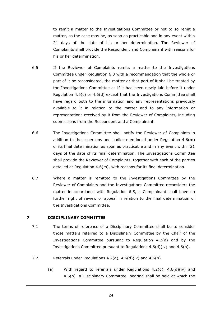to remit a matter to the Investigations Committee or not to so remit a matter, as the case may be, as soon as practicable and in any event within 21 days of the date of his or her determination. The Reviewer of Complaints shall provide the Respondent and Complainant with reasons for his or her determination.

- <span id="page-27-1"></span>6.5 If the Reviewer of Complaints remits a matter to the Investigations Committee under Regulation [6.3](#page-26-1) with a recommendation that the whole or part of it be reconsidered, the matter or that part of it shall be treated by the Investigations Committee as if it had been newly laid before it under Regulation 4.6(c) or 4.6(d) except that the Investigations Committee shall have regard both to the information and any representations previously available to it in relation to the matter and to any information or representations received by it from the Reviewer of Complaints, including submissions from the Respondent and a Complainant.
- 6.6 The Investigations Committee shall notify the Reviewer of Complaints in addition to those persons and bodies mentioned under Regulation  $4.6(m)$ of its final determination as soon as practicable and in any event within 21 days of the date of its final determination. The Investigations Committee shall provide the Reviewer of Complaints, together with each of the parties detailed at Regulation 4.6(m), with reasons for its final determination.
- 6.7 Where a matter is remitted to the Investigations Committee by the Reviewer of Complaints and the Investigations Committee reconsiders the matter in accordance with Regulation [6.5,](#page-27-1) a Complainant shall have no further right of review or appeal in relation to the final determination of the Investigations Committee.

#### <span id="page-27-0"></span>**7 DISCIPLINARY COMMITTEE**

- 7.1 The terms of reference of a Disciplinary Committee shall be to consider those matters referred to a Disciplinary Committee by the Chair of the Investigations Committee pursuant to Regulation 4.2(d) and by the Investigations Committee pursuant to Regulations 4.6(d)(iv) and 4.6(h).
- 7.2 Referrals under Regulations 4.2(d), 4.6(d)(iv) and 4.6(h).
	- (a) With regard to referrals under Regulations  $4.2(d)$ ,  $4.6(d)(iv)$  and 4.6(h) a Disciplinary Committee hearing shall be held at which the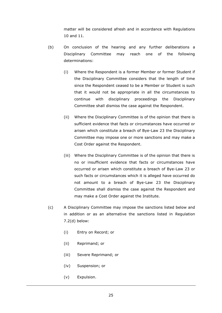matter will be considered afresh and in accordance with Regulations [10](#page-36-0) and [11.](#page-38-0)

- (b) On conclusion of the hearing and any further deliberations a Disciplinary Committee may reach one of the following determinations:
	- (i) Where the Respondent is a former Member or former Student if the Disciplinary Committee considers that the length of time since the Respondent ceased to be a Member or Student is such that it would not be appropriate in all the circumstances to continue with disciplinary proceedings the Disciplinary Committee shall dismiss the case against the Respondent.
	- (ii) Where the Disciplinary Committee is of the opinion that there is sufficient evidence that facts or circumstances have occurred or arisen which constitute a breach of Bye-Law 23 the Disciplinary Committee may impose one or more sanctions and may make a Cost Order against the Respondent.
	- (iii) Where the Disciplinary Committee is of the opinion that there is no or insufficient evidence that facts or circumstances have occurred or arisen which constitute a breach of Bye-Law 23 or such facts or circumstances which it is alleged have occurred do not amount to a breach of Bye-Law 23 the Disciplinary Committee shall dismiss the case against the Respondent and may make a Cost Order against the Institute.
- <span id="page-28-0"></span>(c) A Disciplinary Committee may impose the sanctions listed below and in addition or as an alternative the sanctions listed in Regulation 7.2(d) below:
	- (i) Entry on Record; or
	- (ii) Reprimand; or
	- (iii) Severe Reprimand; or
	- (iv) Suspension; or
	- (v) Expulsion.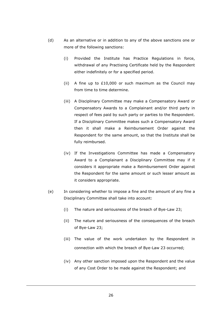- <span id="page-29-0"></span>(d) As an alternative or in addition to any of the above sanctions one or more of the following sanctions:
	- (i) Provided the Institute has Practice Regulations in force, withdrawal of any Practising Certificate held by the Respondent either indefinitely or for a specified period.
	- (ii) A fine up to £10,000 or such maximum as the Council may from time to time determine.
	- (iii) A Disciplinary Committee may make a Compensatory Award or Compensatory Awards to a Complainant and/or third party in respect of fees paid by such party or parties to the Respondent. If a Disciplinary Committee makes such a Compensatory Award then it shall make a Reimbursement Order against the Respondent for the same amount, so that the Institute shall be fully reimbursed.
	- (iv) If the Investigations Committee has made a Compensatory Award to a Complainant a Disciplinary Committee may if it considers it appropriate make a Reimbursement Order against the Respondent for the same amount or such lesser amount as it considers appropriate.
- <span id="page-29-2"></span><span id="page-29-1"></span>(e) In considering whether to impose a fine and the amount of any fine a Disciplinary Committee shall take into account:
	- (i) The nature and seriousness of the breach of Bye-Law 23;
	- (ii) The nature and seriousness of the consequences of the breach of Bye-Law 23;
	- (iii) The value of the work undertaken by the Respondent in connection with which the breach of Bye-Law 23 occurred;
	- (iv) Any other sanction imposed upon the Respondent and the value of any Cost Order to be made against the Respondent; and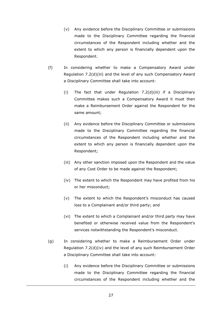- (v) Any evidence before the Disciplinary Committee or submissions made to the Disciplinary Committee regarding the financial circumstances of the Respondent including whether and the extent to which any person is financially dependent upon the Respondent.
- <span id="page-30-0"></span>(f) In considering whether to make a Compensatory Award under Regulation [7.2\(d\)\(iii\)](#page-29-0) and the level of any such Compensatory Award a Disciplinary Committee shall take into account:
	- (i) The fact that under Regulation [7.2\(d\)\(iii\)](#page-29-0) if a Disciplinary Committee makes such a Compensatory Award it must then make a Reimbursement Order against the Respondent for the same amount;
	- (ii) Any evidence before the Disciplinary Committee or submissions made to the Disciplinary Committee regarding the financial circumstances of the Respondent including whether and the extent to which any person is financially dependent upon the Respondent;
	- (iii) Any other sanction imposed upon the Respondent and the value of any Cost Order to be made against the Respondent;
	- (iv) The extent to which the Respondent may have profited from his or her misconduct;
	- (v) The extent to which the Respondent's misconduct has caused loss to a Complainant and/or third party; and
	- (vi) The extent to which a Complainant and/or third party may have benefited or otherwise received value from the Respondent's services notwithstanding the Respondent's misconduct.
- <span id="page-30-1"></span>(g) In considering whether to make a Reimbursement Order under Regulation [7.2\(d\)\(iv\)](#page-29-1) and the level of any such Reimbursement Order a Disciplinary Committee shall take into account:
	- (i) Any evidence before the Disciplinary Committee or submissions made to the Disciplinary Committee regarding the financial circumstances of the Respondent including whether and the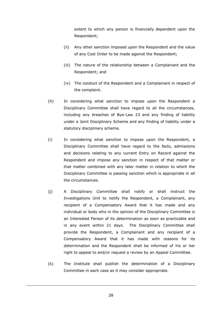extent to which any person is financially dependent upon the Respondent;

- (ii) Any other sanction imposed upon the Respondent and the value of any Cost Order to be made against the Respondent;
- (iii) The nature of the relationship between a Complainant and the Respondent; and
- (iv) The conduct of the Respondent and a Complainant in respect of the complaint.
- <span id="page-31-0"></span>(h) In considering what sanction to impose upon the Respondent a Disciplinary Committee shall have regard to all the circumstances, including any breaches of Bye-Law 23 and any finding of liability under a Joint Disciplinary Scheme and any finding of liability under a statutory disciplinary scheme.
- <span id="page-31-1"></span>(i) In considering what sanction to impose upon the Respondent, a Disciplinary Committee shall have regard to the facts, admissions and decisions relating to any current Entry on Record against the Respondent and impose any sanction in respect of that matter or that matter combined with any later matter in relation to which the Disciplinary Committee is passing sanction which is appropriate in all the circumstances.
- (j) A Disciplinary Committee shall notify or shall instruct the Investigations Unit to notify the Respondent, a Complainant, any recipient of a Compensatory Award that it has made and any individual or body who in the opinion of the Disciplinary Committee is an Interested Person of its determination as soon as practicable and in any event within 21 days. The Disciplinary Committee shall provide the Respondent, a Complainant and any recipient of a Compensatory Award that it has made with reasons for its determination and the Respondent shall be informed of his or her right to appeal to and/or request a review by an Appeal Committee.
- (k) The Institute shall publish the determination of a Disciplinary Committee in each case as it may consider appropriate.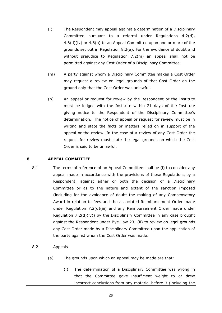- (l) The Respondent may appeal against a determination of a Disciplinary Committee pursuant to a referral under Regulations 4.2(d), [4.6\(d\)\(iv\)](#page-21-0) or 4.6(h) to an Appeal Committee upon one or more of the grounds set out in Regulation [8.2\(a\).](#page-32-1) For the avoidance of doubt and without prejudice to Regulation [7.2\(m\)](#page-32-2) an appeal shall not be permitted against any Cost Order of a Disciplinary Committee.
- <span id="page-32-2"></span>(m) A party against whom a Disciplinary Committee makes a Cost Order may request a review on legal grounds of that Cost Order on the ground only that the Cost Order was unlawful.
- <span id="page-32-3"></span>(n) An appeal or request for review by the Respondent or the Institute must be lodged with the Institute within 21 days of the Institute giving notice to the Respondent of the Disciplinary Committee's determination. The notice of appeal or request for review must be in writing and state the facts or matters relied on in support of the appeal or the review. In the case of a review of any Cost Order the request for review must state the legal grounds on which the Cost Order is said to be unlawful.

#### <span id="page-32-0"></span>**8 APPEAL COMMITTEE**

- 8.1 The terms of reference of an Appeal Committee shall be (i) to consider any appeal made in accordance with the provisions of these Regulations by a Respondent, against either or both the decision of a Disciplinary Committee or as to the nature and extent of the sanction imposed (including for the avoidance of doubt the making of any Compensatory Award in relation to fees and the associated Reimbursement Order made under Regulation [7.2\(d\)\(iii\)](#page-29-0) and any Reimbursement Order made under Regulation [7.2\(d\)\(iv\)\)](#page-29-1) by the Disciplinary Committee in any case brought against the Respondent under Bye-Law 23; (ii) to review on legal grounds any Cost Order made by a Disciplinary Committee upon the application of the party against whom the Cost Order was made.
- <span id="page-32-1"></span>8.2 Appeals
	- (a) The grounds upon which an appeal may be made are that:
		- (i) The determination of a Disciplinary Committee was wrong in that the Committee gave insufficient weight to or drew incorrect conclusions from any material before it (including the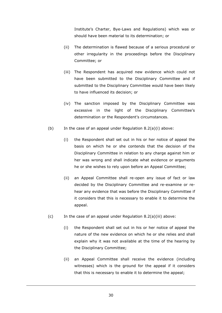Institute's Charter, Bye-Laws and Regulations) which was or should have been material to its determination; or

- (ii) The determination is flawed because of a serious procedural or other irregularity in the proceedings before the Disciplinary Committee; or
- <span id="page-33-0"></span>(iii) The Respondent has acquired new evidence which could not have been submitted to the Disciplinary Committee and if submitted to the Disciplinary Committee would have been likely to have influenced its decision; or
- (iv) The sanction imposed by the Disciplinary Committee was excessive in the light of the Disciplinary Committee's determination or the Respondent's circumstances.
- (b) In the case of an appeal under Regulation  $8.2(a)(i)$  above:
	- (i) the Respondent shall set out in his or her notice of appeal the basis on which he or she contends that the decision of the Disciplinary Committee in relation to any charge against him or her was wrong and shall indicate what evidence or arguments he or she wishes to rely upon before an Appeal Committee;
	- (ii) an Appeal Committee shall re-open any issue of fact or law decided by the Disciplinary Committee and re-examine or rehear any evidence that was before the Disciplinary Committee if it considers that this is necessary to enable it to determine the appeal.
- <span id="page-33-2"></span><span id="page-33-1"></span>(c) In the case of an appeal under Regulation  $8.2(a)(iii)$  above:
	- (i) the Respondent shall set out in his or her notice of appeal the nature of the new evidence on which he or she relies and shall explain why it was not available at the time of the hearing by the Disciplinary Committee;
	- (ii) an Appeal Committee shall receive the evidence (including witnesses) which is the ground for the appeal if it considers that this is necessary to enable it to determine the appeal;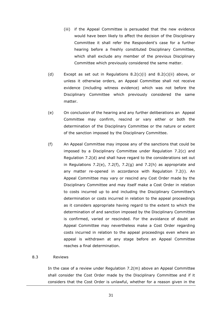- (iii) if the Appeal Committee is persuaded that the new evidence would have been likely to affect the decision of the Disciplinary Committee it shall refer the Respondent's case for a further hearing before a freshly constituted Disciplinary Committee, which shall exclude any member of the previous Disciplinary Committee which previously considered the same matter.
- (d) Except as set out in Regulations  $8.2(c)(i)$  and  $8.2(c)(ii)$  above, or unless it otherwise orders, an Appeal Committee shall not receive evidence (including witness evidence) which was not before the Disciplinary Committee which previously considered the same matter.
- (e) On conclusion of the hearing and any further deliberations an Appeal Committee may confirm, rescind or vary either or both the determination of the Disciplinary Committee or the nature or extent of the sanction imposed by the Disciplinary Committee.
- (f) An Appeal Committee may impose any of the sanctions that could be imposed by a Disciplinary Committee under Regulation [7.2\(c\)](#page-28-0) and Regulation 7.2(d) and shall have regard to the considerations set out in Regulations [7.2\(e\),](#page-29-2) [7.2\(f\),](#page-30-0) [7.2\(g\)](#page-30-1) and [7.2\(h\)](#page-31-0) as appropriate and any matter re-opened in accordance with Regulation [7.2\(i\).](#page-31-1) An Appeal Committee may vary or rescind any Cost Order made by the Disciplinary Committee and may itself make a Cost Order in relation to costs incurred up to and including the Disciplinary Committee's determination or costs incurred in relation to the appeal proceedings as it considers appropriate having regard to the extent to which the determination of and sanction imposed by the Disciplinary Committee is confirmed, varied or rescinded. For the avoidance of doubt an Appeal Committee may nevertheless make a Cost Order regarding costs incurred in relation to the appeal proceedings even where an appeal is withdrawn at any stage before an Appeal Committee reaches a final determination.

#### 8.3 Reviews

In the case of a review under Regulation [7.2\(m\)](#page-32-2) above an Appeal Committee shall consider the Cost Order made by the Disciplinary Committee and if it considers that the Cost Order is unlawful, whether for a reason given in the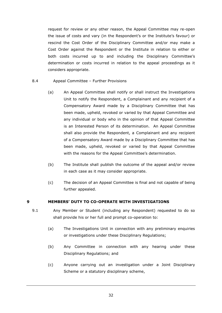request for review or any other reason, the Appeal Committee may re-open the issue of costs and vary (in the Respondent's or the Institute's favour) or rescind the Cost Order of the Disciplinary Committee and/or may make a Cost Order against the Respondent or the Institute in relation to either or both costs incurred up to and including the Disciplinary Committee's determination or costs incurred in relation to the appeal proceedings as it considers appropriate.

- 8.4 Appeal Committee Further Provisions
	- (a) An Appeal Committee shall notify or shall instruct the Investigations Unit to notify the Respondent, a Complainant and any recipient of a Compensatory Award made by a Disciplinary Committee that has been made, upheld, revoked or varied by that Appeal Committee and any individual or body who in the opinion of that Appeal Committee is an Interested Person of its determination. An Appeal Committee shall also provide the Respondent, a Complainant and any recipient of a Compensatory Award made by a Disciplinary Committee that has been made, upheld, revoked or varied by that Appeal Committee with the reasons for the Appeal Committee's determination.
	- (b) The Institute shall publish the outcome of the appeal and/or review in each case as it may consider appropriate.
	- (c) The decision of an Appeal Committee is final and not capable of being further appealed.

# <span id="page-35-0"></span>**9 MEMBERS' DUTY TO CO-OPERATE WITH INVESTIGATIONS**

- 9.1 Any Member or Student (including any Respondent) requested to do so shall provide his or her full and prompt co-operation to:
	- (a) The Investigations Unit in connection with any preliminary enquiries or investigations under these Disciplinary Regulations;
	- (b) Any Committee in connection with any hearing under these Disciplinary Regulations; and
	- (c) Anyone carrying out an investigation under a Joint Disciplinary Scheme or a statutory disciplinary scheme,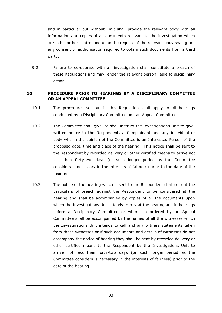and in particular but without limit shall provide the relevant body with all information and copies of all documents relevant to the investigation which are in his or her control and upon the request of the relevant body shall grant any consent or authorisation required to obtain such documents from a third party.

9.2 Failure to co-operate with an investigation shall constitute a breach of these Regulations and may render the relevant person liable to disciplinary action.

# <span id="page-36-0"></span>**10 PROCEDURE PRIOR TO HEARINGS BY A DISCIPLINARY COMMITTEE OR AN APPEAL COMMITTEE**

- 10.1 The procedures set out in this Regulation shall apply to all hearings conducted by a Disciplinary Committee and an Appeal Committee.
- <span id="page-36-2"></span>10.2 The Committee shall give, or shall instruct the Investigations Unit to give, written notice to the Respondent, a Complainant and any individual or body who in the opinion of the Committee is an Interested Person of the proposed date, time and place of the hearing. This notice shall be sent to the Respondent by recorded delivery or other certified means to arrive not less than forty-two days (or such longer period as the Committee considers is necessary in the interests of fairness) prior to the date of the hearing.
- <span id="page-36-1"></span>10.3 The notice of the hearing which is sent to the Respondent shall set out the particulars of breach against the Respondent to be considered at the hearing and shall be accompanied by copies of all the documents upon which the Investigations Unit intends to rely at the hearing and in hearings before a Disciplinary Committee or where so ordered by an Appeal Committee shall be accompanied by the names of all the witnesses which the Investigations Unit intends to call and any witness statements taken from those witnesses or if such documents and details of witnesses do not accompany the notice of hearing they shall be sent by recorded delivery or other certified means to the Respondent by the Investigations Unit to arrive not less than forty-two days (or such longer period as the Committee considers is necessary in the interests of fairness) prior to the date of the hearing.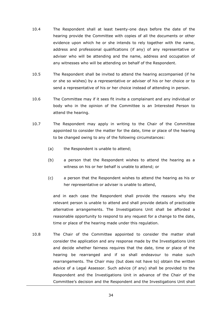- <span id="page-37-1"></span>10.4 The Respondent shall at least twenty-one days before the date of the hearing provide the Committee with copies of all the documents or other evidence upon which he or she intends to rely together with the name, address and professional qualifications (if any) of any representative or adviser who will be attending and the name, address and occupation of any witnesses who will be attending on behalf of the Respondent.
- 10.5 The Respondent shall be invited to attend the hearing accompanied (if he or she so wishes) by a representative or adviser of his or her choice or to send a representative of his or her choice instead of attending in person.
- 10.6 The Committee may if it sees fit invite a complainant and any individual or body who in the opinion of the Committee is an Interested Person to attend the hearing.
- <span id="page-37-0"></span>10.7 The Respondent may apply in writing to the Chair of the Committee appointed to consider the matter for the date, time or place of the hearing to be changed owing to any of the following circumstances:
	- (a) the Respondent is unable to attend;
	- (b) a person that the Respondent wishes to attend the hearing as a witness on his or her behalf is unable to attend; or
	- (c) a person that the Respondent wishes to attend the hearing as his or her representative or adviser is unable to attend,

and in each case the Respondent shall provide the reasons why the relevant person is unable to attend and shall provide details of practicable alternative arrangements. The Investigations Unit shall be afforded a reasonable opportunity to respond to any request for a change to the date, time or place of the hearing made under this regulation.

10.8 The Chair of the Committee appointed to consider the matter shall consider the application and any response made by the Investigations Unit and decide whether fairness requires that the date, time or place of the hearing be rearranged and if so shall endeavour to make such rearrangements. The Chair may (but does not have to) obtain the written advice of a Legal Assessor. Such advice (if any) shall be provided to the Respondent and the Investigations Unit in advance of the Chair of the Committee's decision and the Respondent and the Investigations Unit shall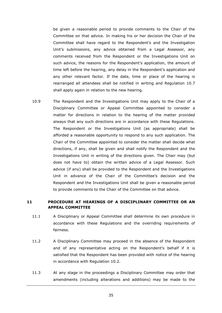be given a reasonable period to provide comments to the Chair of the Committee on that advice. In making his or her decision the Chair of the Committee shall have regard to the Respondent's and the Investigation Unit's submissions, any advice obtained from a Legal Assessor, any comments received from the Respondent or the Investigations Unit on such advice, the reasons for the Respondent's application, the amount of time left before the hearing, any delay in the Respondent's application and any other relevant factor. If the date, time or place of the hearing is rearranged all attendees shall be notified in writing and Regulation [10.7](#page-37-0) shall apply again in relation to the new hearing.

10.9 The Respondent and the Investigations Unit may apply to the Chair of a Disciplinary Committee or Appeal Committee appointed to consider a matter for directions in relation to the hearing of the matter provided always that any such directions are in accordance with these Regulations. The Respondent or the Investigations Unit (as appropriate) shall be afforded a reasonable opportunity to respond to any such application. The Chair of the Committee appointed to consider the matter shall decide what directions, if any, shall be given and shall notify the Respondent and the Investigations Unit in writing of the directions given. The Chair may (but does not have to) obtain the written advice of a Legal Assessor. Such advice (if any) shall be provided to the Respondent and the Investigations Unit in advance of the Chair of the Committee's decision and the Respondent and the Investigations Unit shall be given a reasonable period to provide comments to the Chair of the Committee on that advice.

# <span id="page-38-0"></span>**11 PROCEDURE AT HEARINGS OF A DISCIPLINARY COMMITTEE OR AN APPEAL COMMITTEE**

- 11.1 A Disciplinary or Appeal Committee shall determine its own procedure in accordance with these Regulations and the overriding requirements of fairness.
- 11.2 A Disciplinary Committee may proceed in the absence of the Respondent and of any representative acting on the Respondent's behalf if it is satisfied that the Respondent has been provided with notice of the hearing in accordance with Regulation 10.2.
- 11.3 At any stage in the proceedings a Disciplinary Committee may order that amendments (including alterations and additions) may be made to the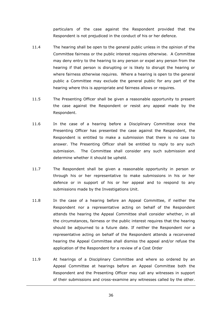particulars of the case against the Respondent provided that the Respondent is not prejudiced in the conduct of his or her defence.

- 11.4 The hearing shall be open to the general public unless in the opinion of the Committee fairness or the public interest requires otherwise. A Committee may deny entry to the hearing to any person or expel any person from the hearing if that person is disrupting or is likely to disrupt the hearing or where fairness otherwise requires. Where a hearing is open to the general public a Committee may exclude the general public for any part of the hearing where this is appropriate and fairness allows or requires.
- 11.5 The Presenting Officer shall be given a reasonable opportunity to present the case against the Respondent or resist any appeal made by the Respondent.
- 11.6 In the case of a hearing before a Disciplinary Committee once the Presenting Officer has presented the case against the Respondent, the Respondent is entitled to make a submission that there is no case to answer. The Presenting Officer shall be entitled to reply to any such submission. The Committee shall consider any such submission and determine whether it should be upheld.
- 11.7 The Respondent shall be given a reasonable opportunity in person or through his or her representative to make submissions in his or her defence or in support of his or her appeal and to respond to any submissions made by the Investigations Unit.
- 11.8 In the case of a hearing before an Appeal Committee, if neither the Respondent nor a representative acting on behalf of the Respondent attends the hearing the Appeal Committee shall consider whether, in all the circumstances, fairness or the public interest requires that the hearing should be adjourned to a future date. If neither the Respondent nor a representative acting on behalf of the Respondent attends a reconvened hearing the Appeal Committee shall dismiss the appeal and/or refuse the application of the Respondent for a review of a Cost Order
- 11.9 At hearings of a Disciplinary Committee and where so ordered by an Appeal Committee at hearings before an Appeal Committee both the Respondent and the Presenting Officer may call any witnesses in support of their submissions and cross-examine any witnesses called by the other.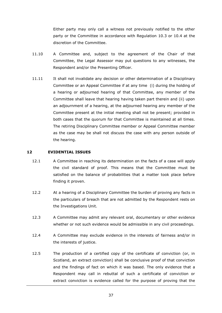Either party may only call a witness not previously notified to the other party or the Committee in accordance with Regulation [10.3](#page-36-1) or [10.4](#page-37-1) at the discretion of the Committee.

- 11.10 A Committee and, subject to the agreement of the Chair of that Committee, the Legal Assessor may put questions to any witnesses, the Respondent and/or the Presenting Officer.
- 11.11 It shall not invalidate any decision or other determination of a Disciplinary Committee or an Appeal Committee if at any time (i) during the holding of a hearing or adjourned hearing of that Committee, any member of the Committee shall leave that hearing having taken part therein and (ii) upon an adjournment of a hearing, at the adjourned hearing any member of the Committee present at the initial meeting shall not be present; provided in both cases that the quorum for that Committee is maintained at all times. The retiring Disciplinary Committee member or Appeal Committee member as the case may be shall not discuss the case with any person outside of the hearing.

# **12 EVIDENTIAL ISSUES**

- 12.1 A Committee in reaching its determination on the facts of a case will apply the civil standard of proof. This means that the Committee must be satisfied on the balance of probabilities that a matter took place before finding it proven.
- 12.2 At a hearing of a Disciplinary Committee the burden of proving any facts in the particulars of breach that are not admitted by the Respondent rests on the Investigations Unit.
- 12.3 A Committee may admit any relevant oral, documentary or other evidence whether or not such evidence would be admissible in any civil proceedings.
- 12.4 A Committee may exclude evidence in the interests of fairness and/or in the interests of justice.
- 12.5 The production of a certified copy of the certificate of conviction (or, in Scotland, an extract conviction) shall be conclusive proof of that conviction and the findings of fact on which it was based. The only evidence that a Respondent may call in rebuttal of such a certificate of conviction or extract conviction is evidence called for the purpose of proving that the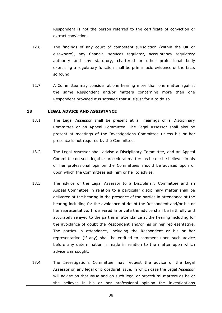Respondent is not the person referred to the certificate of conviction or extract conviction.

- 12.6 The findings of any court of competent jurisdiction (within the UK or elsewhere), any financial services regulator, accountancy regulatory authority and any statutory, chartered or other professional body exercising a regulatory function shall be prima facie evidence of the facts so found.
- 12.7 A Committee may consider at one hearing more than one matter against the same Respondent and/or matters concerning more than one Respondent provided it is satisfied that it is just for it to do so.

#### <span id="page-41-0"></span>**13 LEGAL ADVICE AND ASSISTANCE**

- 13.1 The Legal Assessor shall be present at all hearings of a Disciplinary Committee or an Appeal Committee. The Legal Assessor shall also be present at meetings of the Investigations Committee unless his or her presence is not required by the Committee.
- 13.2 The Legal Assessor shall advise a Disciplinary Committee, and an Appeal Committee on such legal or procedural matters as he or she believes in his or her professional opinion the Committees should be advised upon or upon which the Committees ask him or her to advise.
- 13.3 The advice of the Legal Assessor to a Disciplinary Committee and an Appeal Committee in relation to a particular disciplinary matter shall be delivered at the hearing in the presence of the parties in attendance at the hearing including for the avoidance of doubt the Respondent and/or his or her representative. If delivered in private the advice shall be faithfully and accurately relayed to the parties in attendance at the hearing including for the avoidance of doubt the Respondent and/or his or her representative. The parties in attendance, including the Respondent or his or her representative (if any) shall be entitled to comment upon such advice before any determination is made in relation to the matter upon which advice was sought.
- 13.4 The Investigations Committee may request the advice of the Legal Assessor on any legal or procedural issue, in which case the Legal Assessor will advise on that issue and on such legal or procedural matters as he or she believes in his or her professional opinion the Investigations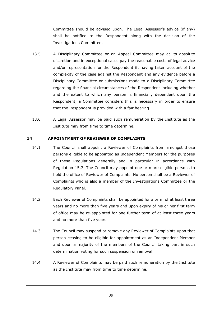Committee should be advised upon. The Legal Assessor's advice (if any) shall be notified to the Respondent along with the decision of the Investigations Committee.

- 13.5 A Disciplinary Committee or an Appeal Committee may at its absolute discretion and in exceptional cases pay the reasonable costs of legal advice and/or representation for the Respondent if, having taken account of the complexity of the case against the Respondent and any evidence before a Disciplinary Committee or submissions made to a Disciplinary Committee regarding the financial circumstances of the Respondent including whether and the extent to which any person is financially dependent upon the Respondent, a Committee considers this is necessary in order to ensure that the Respondent is provided with a fair hearing.
- 13.6 A Legal Assessor may be paid such remuneration by the Institute as the Institute may from time to time determine.

#### <span id="page-42-0"></span>**14 APPOINTMENT OF REVIEWER OF COMPLAINTS**

- 14.1 The Council shall appoint a Reviewer of Complaints from amongst those persons eligible to be appointed as Independent Members for the purposes of these Regulations generally and in particular in accordance with Regulation [15.7.](#page-44-2) The Council may appoint one or more eligible persons to hold the office of Reviewer of Complaints. No person shall be a Reviewer of Complaints who is also a member of the Investigations Committee or the Regulatory Panel.
- 14.2 Each Reviewer of Complaints shall be appointed for a term of at least three years and no more than five years and upon expiry of his or her first term of office may be re-appointed for one further term of at least three years and no more than five years.
- 14.3 The Council may suspend or remove any Reviewer of Complaints upon that person ceasing to be eligible for appointment as an Independent Member and upon a majority of the members of the Council taking part in such determination voting for such suspension or removal.
- 14.4 A Reviewer of Complaints may be paid such remuneration by the Institute as the Institute may from time to time determine.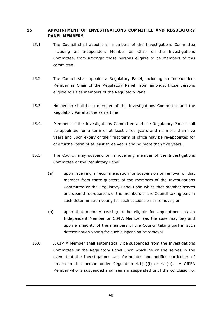# <span id="page-43-0"></span>**15 APPOINTMENT OF INVESTIGATIONS COMMITTEE AND REGULATORY PANEL MEMBERS**

- 15.1 The Council shall appoint all members of the Investigations Committee including an Independent Member as Chair of the Investigations Committee, from amongst those persons eligible to be members of this committee.
- 15.2 The Council shall appoint a Regulatory Panel, including an Independent Member as Chair of the Regulatory Panel, from amongst those persons eligible to sit as members of the Regulatory Panel.
- 15.3 No person shall be a member of the Investigations Committee and the Regulatory Panel at the same time.
- 15.4 Members of the Investigations Committee and the Regulatory Panel shall be appointed for a term of at least three years and no more than five years and upon expiry of their first term of office may be re-appointed for one further term of at least three years and no more than five years.
- <span id="page-43-1"></span>15.5 The Council may suspend or remove any member of the Investigations Committee or the Regulatory Panel:
	- (a) upon receiving a recommendation for suspension or removal of that member from three-quarters of the members of the Investigations Committee or the Regulatory Panel upon which that member serves and upon three-quarters of the members of the Council taking part in such determination voting for such suspension or removal; or
	- (b) upon that member ceasing to be eligible for appointment as an Independent Member or CIPFA Member (as the case may be) and upon a majority of the members of the Council taking part in such determination voting for such suspension or removal.
- 15.6 A CIPFA Member shall automatically be suspended from the Investigations Committee or the Regulatory Panel upon which he or she serves in the event that the Investigations Unit formulates and notifies particulars of breach to that person under Regulation  $4.1(b)(i)$  or  $4.4(b)$ . A CIPFA Member who is suspended shall remain suspended until the conclusion of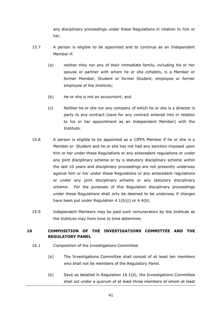any disciplinary proceedings under these Regulations in relation to him or her.

- <span id="page-44-2"></span>15.7 A person is eligible to be appointed and to continue as an Independent Member if:
	- (a) neither they nor any of their immediate family, including his or her spouse or partner with whom he or she cohabits, is a Member or former Member, Student or former Student, employee or former employee of the Institute;
	- (b) He or she is not an accountant; and
	- (c) Neither he or she nor any company of which he or she is a director is party to any contract (save for any contract entered into in relation to his or her appointment as an Independent Member) with the Institute.
- <span id="page-44-1"></span>15.8 A person is eligible to be appointed as a CIPFA Member if he or she is a Member or Student and he or she has not had any sanction imposed upon him or her under these Regulations or any antecedent regulations or under any joint disciplinary scheme or by a statutory disciplinary scheme within the last 10 years and disciplinary proceedings are not presently underway against him or her under these Regulations or any antecedent regulations or under any joint disciplinary scheme or any statutory disciplinary scheme. For the purposes of this Regulation disciplinary proceedings under these Regulations shall only be deemed to be underway if charges have been put under Regulation 4.1(b)(i) or 4.4(b).
- 15.9 Independent Members may be paid such remuneration by the Institute as the Institute may from time to time determine.

# <span id="page-44-0"></span>**16 COMPOSITION OF THE INVESTIGATIONS COMMITTEE AND THE REGULATORY PANEL**

- <span id="page-44-4"></span><span id="page-44-3"></span>16.1 Composition of the Investigations Committee
	- (a) The Investigations Committee shall consist of at least ten members who shall not be members of the Regulatory Panel.
	- (b) Save as detailed in Regulation 16.1(d), the Investigations Committee shall act under a quorum of at least three members of whom at least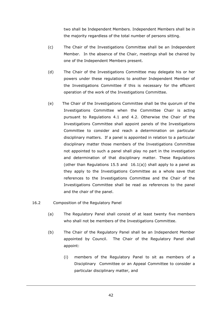two shall be Independent Members. Independent Members shall be in the majority regardless of the total number of persons sitting.

- (c) The Chair of the Investigations Committee shall be an Independent Member. In the absence of the Chair, meetings shall be chaired by one of the Independent Members present.
- (d) The Chair of the Investigations Committee may delegate his or her powers under these regulations to another Independent Member of the Investigations Committee if this is necessary for the efficient operation of the work of the Investigations Committee.
- (e) The Chair of the Investigations Committee shall be the quorum of the Investigations Committee when the Committee Chair is acting pursuant to Regulations 4.1 and 4.2. Otherwise the Chair of the Investigations Committee shall appoint panels of the Investigations Committee to consider and reach a determination on particular disciplinary matters. If a panel is appointed in relation to a particular disciplinary matter those members of the Investigations Committee not appointed to such a panel shall play no part in the investigation and determination of that disciplinary matter. These Regulations (other than Regulations [15.5](#page-43-1) and  $16.1(a)$ ) shall apply to a panel as they apply to the Investigations Committee as a whole save that references to the Investigations Committee and the Chair of the Investigations Committee shall be read as references to the panel and the chair of the panel.
- 16.2 Composition of the Regulatory Panel
	- (a) The Regulatory Panel shall consist of at least twenty five members who shall not be members of the Investigations Committee.
	- (b) The Chair of the Regulatory Panel shall be an Independent Member appointed by Council. The Chair of the Regulatory Panel shall appoint:
		- (i) members of the Regulatory Panel to sit as members of a Disciplinary Committee or an Appeal Committee to consider a particular disciplinary matter, and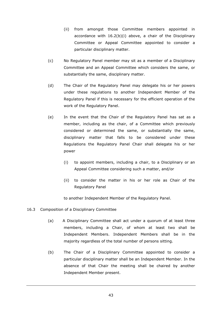- (ii) from amongst those Committee members appointed in accordance with 16.2(b)(i) above, a chair of the Disciplinary Committee or Appeal Committee appointed to consider a particular disciplinary matter.
- (c) No Regulatory Panel member may sit as a member of a Disciplinary Committee and an Appeal Committee which considers the same, or substantially the same, disciplinary matter.
- (d) The Chair of the Regulatory Panel may delegate his or her powers under these regulations to another Independent Member of the Regulatory Panel if this is necessary for the efficient operation of the work of the Regulatory Panel.
- (e) In the event that the Chair of the Regulatory Panel has sat as a member, including as the chair, of a Committee which previously considered or determined the same, or substantially the same, disciplinary matter that falls to be considered under these Regulations the Regulatory Panel Chair shall delegate his or her power
	- (i) to appoint members, including a chair, to a Disciplinary or an Appeal Committee considering such a matter, and/or
	- (ii) to consider the matter in his or her role as Chair of the Regulatory Panel

to another Independent Member of the Regulatory Panel.

- 16.3 Composition of a Disciplinary Committee
	- (a) A Disciplinary Committee shall act under a quorum of at least three members, including a Chair, of whom at least two shall be Independent Members. Independent Members shall be in the majority regardless of the total number of persons sitting.
	- (b) The Chair of a Disciplinary Committee appointed to consider a particular disciplinary matter shall be an Independent Member. In the absence of that Chair the meeting shall be chaired by another Independent Member present.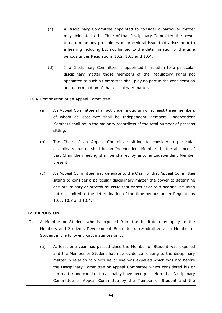- (c) A Disciplinary Committee appointed to consider a particular matter may delegate to the Chair of that Disciplinary Committee the power to determine any preliminary or procedural issue that arises prior to a hearing including but not limited to the determination of the time periods under Regulations [10.2,](#page-36-2) [10.3](#page-36-1) and [10.4.](#page-37-1)
- (d) If a Disciplinary Committee is appointed in relation to a particular disciplinary matter those members of the Regulatory Panel not appointed to such a Committee shall play no part in the consideration and determination of that disciplinary matter.
- 16.4 Composition of an Appeal Committee
	- (a) An Appeal Committee shall act under a quorum of at least three members of whom at least two shall be Independent Members. Independent Members shall be in the majority regardless of the total number of persons sitting.
	- (b) The Chair of an Appeal Committee sitting to consider a particular disciplinary matter shall be an Independent Member. In the absence of that Chair the meeting shall be chaired by another Independent Member present.
	- (c) An Appeal Committee may delegate to the Chair of that Appeal Committee sitting to consider a particular disciplinary matter the power to determine any preliminary or procedural issue that arises prior to a hearing including but not limited to the determination of the time periods under Regulations [10.2,](#page-36-2) [10.3](#page-36-1) and [10.4.](#page-37-1)

#### <span id="page-47-0"></span>**17 EXPULSION**

- 17.1 A Member or Student who is expelled from the Institute may apply to the Members and Students Development Board to be re-admitted as a Member or Student in the following circumstances only:
	- (a) At least one year has passed since the Member or Student was expelled and the Member or Student has new evidence relating to the disciplinary matter in relation to which he or she was expelled which was not before the Disciplinary Committee or Appeal Committee which considered his or her matter and could not reasonably have been put before that Disciplinary Committee or Appeal Committee by the Member or Student and the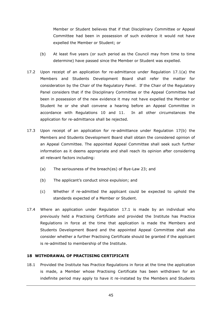Member or Student believes that if that Disciplinary Committee or Appeal Committee had been in possession of such evidence it would not have expelled the Member or Student; or

- <span id="page-48-1"></span>(b) At least five years (or such period as the Council may from time to time determine) have passed since the Member or Student was expelled.
- 17.2 Upon receipt of an application for re-admittance under Regulation 17.1(a) the Members and Students Development Board shall refer the matter for consideration by the Chair of the Regulatory Panel. If the Chair of the Regulatory Panel considers that if the Disciplinary Committee or the Appeal Committee had been in possession of the new evidence it may not have expelled the Member or Student he or she shall convene a hearing before an Appeal Committee in accordance with Regulations [10](#page-36-0) and [11.](#page-38-0) In all other circumstances the application for re-admittance shall be rejected.
- 17.3 Upon receipt of an application for re-admittance under Regulation [17\(b\)](#page-48-1) the Members and Students Development Board shall obtain the considered opinion of an Appeal Committee. The appointed Appeal Committee shall seek such further information as it deems appropriate and shall reach its opinion after considering all relevant factors including:
	- (a) The seriousness of the breach(es) of Bye-Law 23; and
	- (b) The applicant's conduct since expulsion; and
	- (c) Whether if re-admitted the applicant could be expected to uphold the standards expected of a Member or Student.
- 17.4 Where an application under Regulation 17.1 is made by an individual who previously held a Practising Certificate and provided the Institute has Practice Regulations in force at the time that application is made the Members and Students Development Board and the appointed Appeal Committee shall also consider whether a further Practising Certificate should be granted if the applicant is re-admitted to membership of the Institute.

#### <span id="page-48-0"></span>**18 WITHDRAWAL OF PRACTISING CERTIFICATE**

<span id="page-48-2"></span>18.1 Provided the Institute has Practice Regulations in force at the time the application is made, a Member whose Practising Certificate has been withdrawn for an indefinite period may apply to have it re-instated by the Members and Students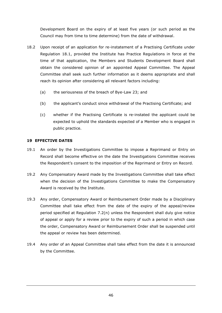Development Board on the expiry of at least five years (or such period as the Council may from time to time determine) from the date of withdrawal.

- 18.2 Upon receipt of an application for re-instatement of a Practising Certificate under Regulation [18.1,](#page-48-2) provided the Institute has Practice Regulations in force at the time of that application, the Members and Students Development Board shall obtain the considered opinion of an appointed Appeal Committee. The Appeal Committee shall seek such further information as it deems appropriate and shall reach its opinion after considering all relevant factors including:
	- (a) the seriousness of the breach of Bye-Law 23; and
	- (b) the applicant's conduct since withdrawal of the Practising Certificate; and
	- (c) whether if the Practising Certificate is re-instated the applicant could be expected to uphold the standards expected of a Member who is engaged in public practice.

# <span id="page-49-0"></span>**19 EFFECTIVE DATES**

- 19.1 An order by the Investigations Committee to impose a Reprimand or Entry on Record shall become effective on the date the Investigations Committee receives the Respondent's consent to the imposition of the Reprimand or Entry on Record.
- 19.2 Any Compensatory Award made by the Investigations Committee shall take effect when the decision of the Investigations Committee to make the Compensatory Award is received by the Institute.
- 19.3 Any order, Compensatory Award or Reimbursement Order made by a Disciplinary Committee shall take effect from the date of the expiry of the appeal/review period specified at Regulation [7.2\(n\)](#page-32-3) unless the Respondent shall duly give notice of appeal or apply for a review prior to the expiry of such a period in which case the order, Compensatory Award or Reimbursement Order shall be suspended until the appeal or review has been determined.
- 19.4 Any order of an Appeal Committee shall take effect from the date it is announced by the Committee.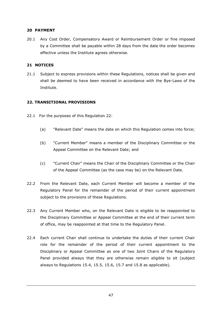#### <span id="page-50-0"></span>**20 PAYMENT**

20.1 Any Cost Order, Compensatory Award or Reimbursement Order or fine imposed by a Committee shall be payable within 28 days from the date the order becomes effective unless the Institute agrees otherwise.

#### <span id="page-50-1"></span>**21 NOTICES**

21.1 Subject to express provisions within these Regulations, notices shall be given and shall be deemed to have been received in accordance with the Bye-Laws of the Institute.

#### **22. TRANSITIONAL PROVISIONS**

- 22.1 For the purposes of this Regulation 22:
	- (a) "Relevant Date" means the date on which this Regulation comes into force;
	- (b) "Current Member" means a member of the Disciplinary Committee or the Appeal Committee on the Relevant Date; and
	- (c) "Current Chair" means the Chair of the Disciplinary Committee or the Chair of the Appeal Committee (as the case may be) on the Relevant Date.
- 22.2 From the Relevant Date, each Current Member will become a member of the Regulatory Panel for the remainder of the period of their current appointment subject to the provisions of these Regulations.
- 22.3 Any Current Member who, on the Relevant Date is eligible to be reappointed to the Disciplinary Committee or Appeal Committee at the end of their current term of office, may be reappointed at that time to the Regulatory Panel.
- 22.4 Each current Chair shall continue to undertake the duties of their current Chair role for the remainder of the period of their current appointment to the Disciplinary or Appeal Committee as one of two Joint Chairs of the Regulatory Panel provided always that they are otherwise remain eligible to sit (subject always to Regulations 15.4, 15.5, 15.6, 15.7 and 15.8 as applicable).